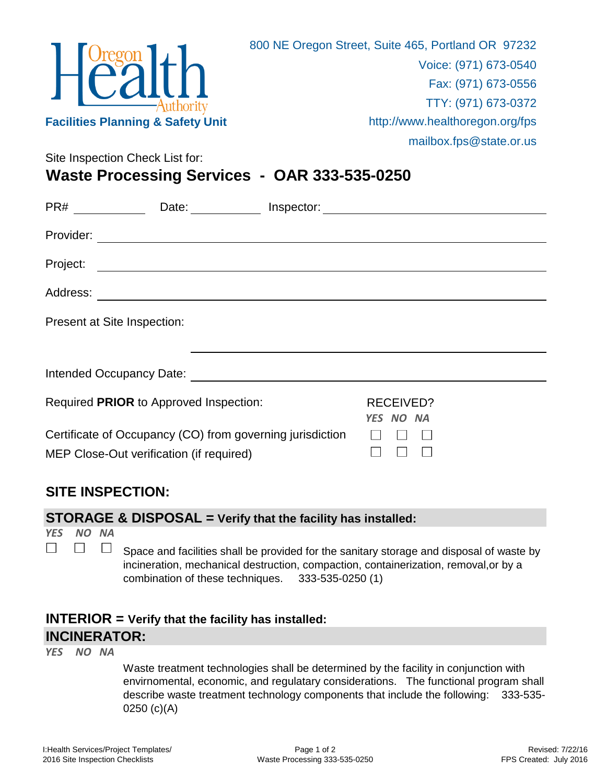

mailbox.fps@state.or.us

Site Inspection Check List for:

**Waste Processing Services - OAR 333-535-0250**

| PR#                                                                                                   | Date:<br>$\mathbb{R}^n$ . The set of $\mathbb{R}^n$                                                                                                                                                                            | Inspector: |                               |  |
|-------------------------------------------------------------------------------------------------------|--------------------------------------------------------------------------------------------------------------------------------------------------------------------------------------------------------------------------------|------------|-------------------------------|--|
| Provider:                                                                                             |                                                                                                                                                                                                                                |            |                               |  |
| Project:                                                                                              |                                                                                                                                                                                                                                |            |                               |  |
| Address:                                                                                              |                                                                                                                                                                                                                                |            |                               |  |
|                                                                                                       | Present at Site Inspection:                                                                                                                                                                                                    |            |                               |  |
|                                                                                                       |                                                                                                                                                                                                                                |            |                               |  |
|                                                                                                       | Intended Occupancy Date: Notelland Controller and the control of the control of the control of the control of the control of the control of the control of the control of the control of the control of the control of the con |            |                               |  |
| Required PRIOR to Approved Inspection:                                                                |                                                                                                                                                                                                                                |            | <b>RECEIVED?</b><br>YES NO NA |  |
| Certificate of Occupancy (CO) from governing jurisdiction<br>MEP Close-Out verification (if required) |                                                                                                                                                                                                                                |            |                               |  |

## **SITE INSPECTION:**

## **STORAGE & DISPOSAL = Verify that the facility has installed:**

*YES NO NA*  $\Box$ 

 $\Box$ 

 $\Box$ Space and facilities shall be provided for the sanitary storage and disposal of waste by incineration, mechanical destruction, compaction, containerization, removal,or by a combination of these techniques. 333-535-0250 (1)

## **INTERIOR = Verify that the facility has installed: INCINERATOR:**

*YES NO NA*

Waste treatment technologies shall be determined by the facility in conjunction with envirnomental, economic, and regulatary considerations. The functional program shall describe waste treatment technology components that include the following: 333-535- 0250 (c)(A)